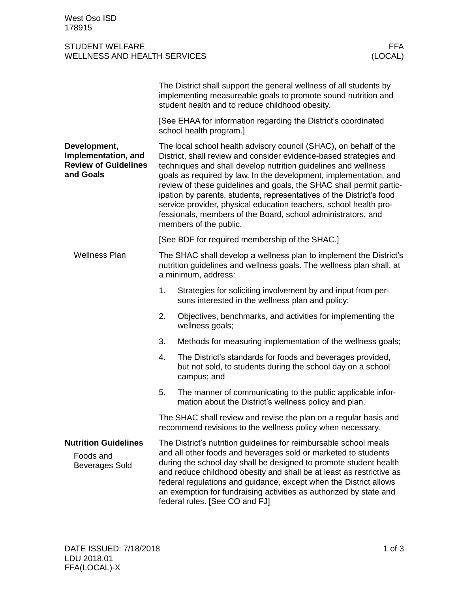## STUDENT WELFARE WELLNESS AND HEALTH SERVICES

|                                                                                 |                                                                                                                                                                                                                                                                                                                                                                                                                                                                                                                                                                                             | The District shall support the general wellness of all students by<br>implementing measureable goals to promote sound nutrition and<br>student health and to reduce childhood obesity. |  |
|---------------------------------------------------------------------------------|---------------------------------------------------------------------------------------------------------------------------------------------------------------------------------------------------------------------------------------------------------------------------------------------------------------------------------------------------------------------------------------------------------------------------------------------------------------------------------------------------------------------------------------------------------------------------------------------|----------------------------------------------------------------------------------------------------------------------------------------------------------------------------------------|--|
|                                                                                 | [See EHAA for information regarding the District's coordinated<br>school health program.]                                                                                                                                                                                                                                                                                                                                                                                                                                                                                                   |                                                                                                                                                                                        |  |
| Development,<br>Implementation, and<br><b>Review of Guidelines</b><br>and Goals | The local school health advisory council (SHAC), on behalf of the<br>District, shall review and consider evidence-based strategies and<br>techniques and shall develop nutrition guidelines and wellness<br>goals as required by law. In the development, implementation, and<br>review of these guidelines and goals, the SHAC shall permit partic-<br>ipation by parents, students, representatives of the District's food<br>service provider, physical education teachers, school health pro-<br>fessionals, members of the Board, school administrators, and<br>members of the public. |                                                                                                                                                                                        |  |
|                                                                                 |                                                                                                                                                                                                                                                                                                                                                                                                                                                                                                                                                                                             | [See BDF for required membership of the SHAC.]                                                                                                                                         |  |
| <b>Wellness Plan</b>                                                            | The SHAC shall develop a wellness plan to implement the District's<br>nutrition guidelines and wellness goals. The wellness plan shall, at<br>a minimum, address:                                                                                                                                                                                                                                                                                                                                                                                                                           |                                                                                                                                                                                        |  |
|                                                                                 | 1.                                                                                                                                                                                                                                                                                                                                                                                                                                                                                                                                                                                          | Strategies for soliciting involvement by and input from per-<br>sons interested in the wellness plan and policy;                                                                       |  |
|                                                                                 | 2.                                                                                                                                                                                                                                                                                                                                                                                                                                                                                                                                                                                          | Objectives, benchmarks, and activities for implementing the<br>wellness goals;                                                                                                         |  |
|                                                                                 | 3.                                                                                                                                                                                                                                                                                                                                                                                                                                                                                                                                                                                          | Methods for measuring implementation of the wellness goals;                                                                                                                            |  |
|                                                                                 | 4.                                                                                                                                                                                                                                                                                                                                                                                                                                                                                                                                                                                          | The District's standards for foods and beverages provided,<br>but not sold, to students during the school day on a school<br>campus; and                                               |  |
|                                                                                 | 5.                                                                                                                                                                                                                                                                                                                                                                                                                                                                                                                                                                                          | The manner of communicating to the public applicable infor-<br>mation about the District's wellness policy and plan.                                                                   |  |
|                                                                                 | The SHAC shall review and revise the plan on a regular basis and<br>recommend revisions to the wellness policy when necessary.                                                                                                                                                                                                                                                                                                                                                                                                                                                              |                                                                                                                                                                                        |  |
| <b>Nutrition Guidelines</b><br>Foods and<br><b>Beverages Sold</b>               | The District's nutrition guidelines for reimbursable school meals<br>and all other foods and beverages sold or marketed to students<br>during the school day shall be designed to promote student health<br>and reduce childhood obesity and shall be at least as restrictive as<br>federal regulations and guidance, except when the District allows<br>an exemption for fundraising activities as authorized by state and<br>federal rules. [See CO and FJ]                                                                                                                               |                                                                                                                                                                                        |  |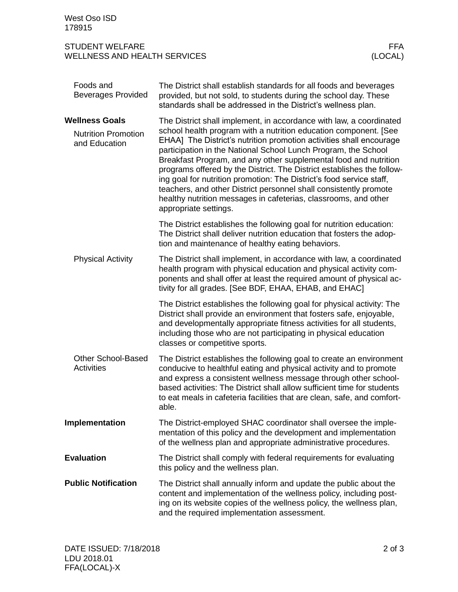| Foods and<br><b>Beverages Provided</b>         | The District shall establish standards for all foods and beverages<br>provided, but not sold, to students during the school day. These<br>standards shall be addressed in the District's wellness plan.                                                                                                                                                                                                                                                                                                                                                                                          |  |
|------------------------------------------------|--------------------------------------------------------------------------------------------------------------------------------------------------------------------------------------------------------------------------------------------------------------------------------------------------------------------------------------------------------------------------------------------------------------------------------------------------------------------------------------------------------------------------------------------------------------------------------------------------|--|
| <b>Wellness Goals</b>                          | The District shall implement, in accordance with law, a coordinated                                                                                                                                                                                                                                                                                                                                                                                                                                                                                                                              |  |
| <b>Nutrition Promotion</b><br>and Education    | school health program with a nutrition education component. [See<br>EHAA] The District's nutrition promotion activities shall encourage<br>participation in the National School Lunch Program, the School<br>Breakfast Program, and any other supplemental food and nutrition<br>programs offered by the District. The District establishes the follow-<br>ing goal for nutrition promotion: The District's food service staff,<br>teachers, and other District personnel shall consistently promote<br>healthy nutrition messages in cafeterias, classrooms, and other<br>appropriate settings. |  |
|                                                | The District establishes the following goal for nutrition education:<br>The District shall deliver nutrition education that fosters the adop-<br>tion and maintenance of healthy eating behaviors.                                                                                                                                                                                                                                                                                                                                                                                               |  |
| <b>Physical Activity</b>                       | The District shall implement, in accordance with law, a coordinated<br>health program with physical education and physical activity com-<br>ponents and shall offer at least the required amount of physical ac-<br>tivity for all grades. [See BDF, EHAA, EHAB, and EHAC]                                                                                                                                                                                                                                                                                                                       |  |
|                                                | The District establishes the following goal for physical activity: The<br>District shall provide an environment that fosters safe, enjoyable,<br>and developmentally appropriate fitness activities for all students,<br>including those who are not participating in physical education<br>classes or competitive sports.                                                                                                                                                                                                                                                                       |  |
| <b>Other School-Based</b><br><b>Activities</b> | The District establishes the following goal to create an environment<br>conducive to healthful eating and physical activity and to promote<br>and express a consistent wellness message through other school-<br>based activities: The District shall allow sufficient time for students<br>to eat meals in cafeteria facilities that are clean, safe, and comfort-<br>able.                                                                                                                                                                                                                     |  |
| Implementation                                 | The District-employed SHAC coordinator shall oversee the imple-<br>mentation of this policy and the development and implementation<br>of the wellness plan and appropriate administrative procedures.                                                                                                                                                                                                                                                                                                                                                                                            |  |
| <b>Evaluation</b>                              | The District shall comply with federal requirements for evaluating<br>this policy and the wellness plan.                                                                                                                                                                                                                                                                                                                                                                                                                                                                                         |  |
| <b>Public Notification</b>                     | The District shall annually inform and update the public about the<br>content and implementation of the wellness policy, including post-<br>ing on its website copies of the wellness policy, the wellness plan,<br>and the required implementation assessment.                                                                                                                                                                                                                                                                                                                                  |  |